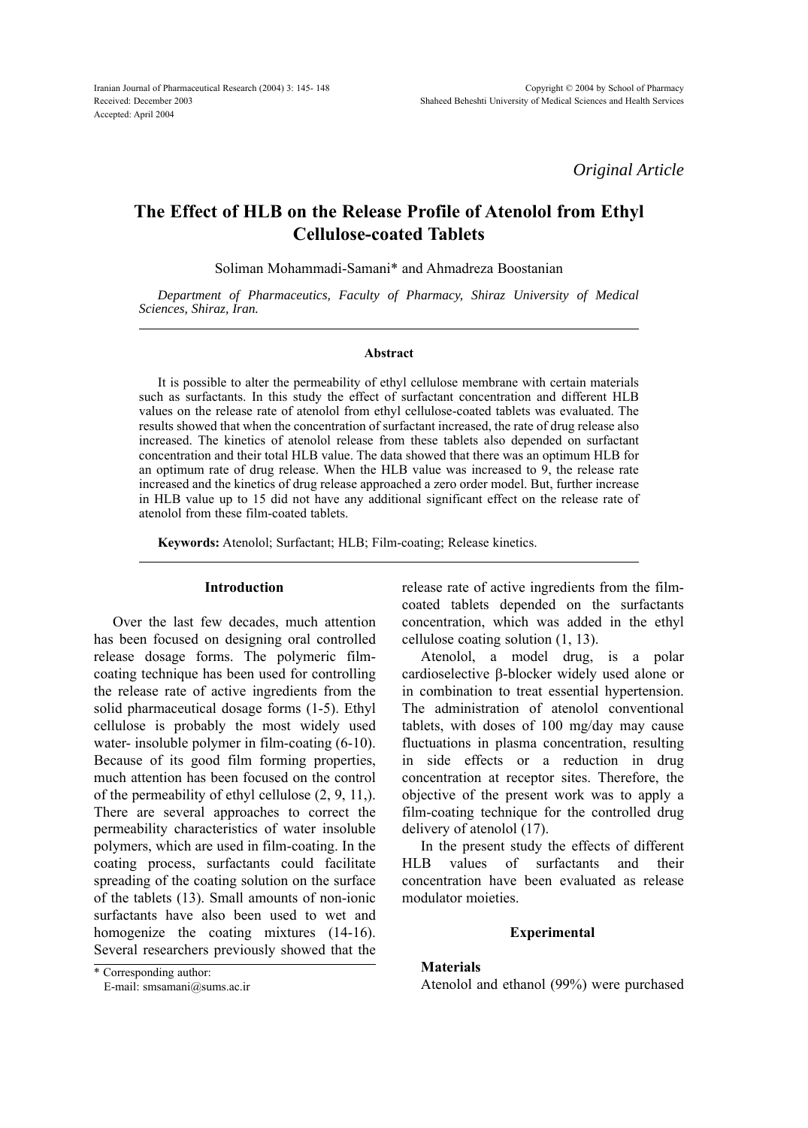*Original Article*

# **The Effect of HLB on the Release Profile of Atenolol from Ethyl Cellulose-coated Tablets**

Soliman Mohammadi-Samani\* and Ahmadreza Boostanian

*Department of Pharmaceutics, Faculty of Pharmacy, Shiraz University of Medical Sciences, Shiraz, Iran.*

#### **Abstract**

It is possible to alter the permeability of ethyl cellulose membrane with certain materials such as surfactants. In this study the effect of surfactant concentration and different HLB values on the release rate of atenolol from ethyl cellulose-coated tablets was evaluated. The results showed that when the concentration of surfactant increased, the rate of drug release also increased. The kinetics of atenolol release from these tablets also depended on surfactant concentration and their total HLB value. The data showed that there was an optimum HLB for an optimum rate of drug release. When the HLB value was increased to 9, the release rate increased and the kinetics of drug release approached a zero order model. But, further increase in HLB value up to 15 did not have any additional significant effect on the release rate of atenolol from these film-coated tablets.

**Keywords:** Atenolol; Surfactant; HLB; Film-coating; Release kinetics.

## **Introduction**

Over the last few decades, much attention has been focused on designing oral controlled release dosage forms. The polymeric filmcoating technique has been used for controlling the release rate of active ingredients from the solid pharmaceutical dosage forms (1-5). Ethyl cellulose is probably the most widely used water- insoluble polymer in film-coating  $(6-10)$ . Because of its good film forming properties, much attention has been focused on the control of the permeability of ethyl cellulose (2, 9, 11,). There are several approaches to correct the permeability characteristics of water insoluble polymers, which are used in film-coating. In the coating process, surfactants could facilitate spreading of the coating solution on the surface of the tablets (13). Small amounts of non-ionic surfactants have also been used to wet and homogenize the coating mixtures (14-16). Several researchers previously showed that the

\* Corresponding author:

E-mail: smsamani@sums.ac.ir

release rate of active ingredients from the filmcoated tablets depended on the surfactants concentration, which was added in the ethyl cellulose coating solution (1, 13).

Atenolol, a model drug, is a polar cardioselective  $\beta$ -blocker widely used alone or in combination to treat essential hypertension. The administration of atenolol conventional tablets, with doses of 100 mg/day may cause fluctuations in plasma concentration, resulting in side effects or a reduction in drug concentration at receptor sites. Therefore, the objective of the present work was to apply a film-coating technique for the controlled drug delivery of atenolol (17).

In the present study the effects of different HLB values of surfactants and their concentration have been evaluated as release modulator moieties.

### **Experimental**

## **Materials**

Atenolol and ethanol (99%) were purchased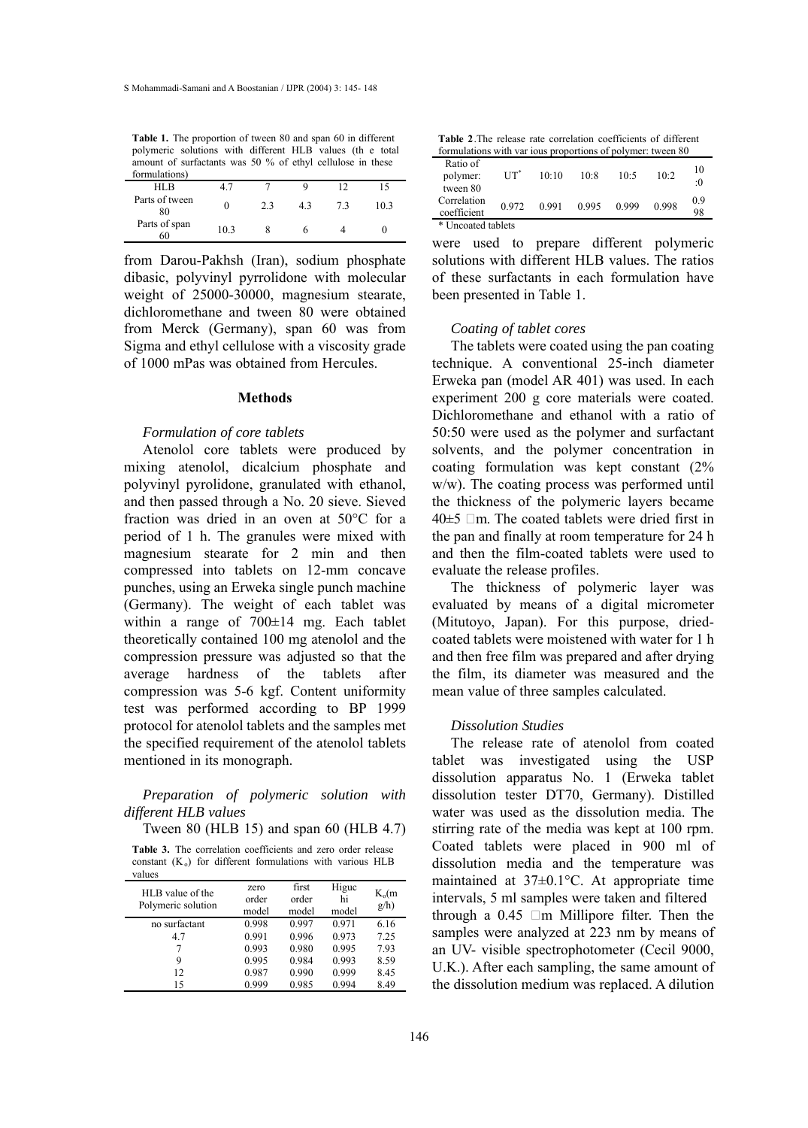**Table 1.** The proportion of tween 80 and span 60 in different polymeric solutions with different HLB values (th e total amount of surfactants was 50 % of ethyl cellulose in these

| formulations)        |      |    |    |    |      |
|----------------------|------|----|----|----|------|
| HL <sub>B</sub>      | 4.7  |    |    |    | 15   |
| Parts of tween<br>80 |      | 23 | 43 | 73 | 10.3 |
| Parts of span<br>60  | 10.3 |    |    |    |      |
|                      |      |    |    |    |      |

from Darou-Pakhsh (Iran), sodium phosphate dibasic, polyvinyl pyrrolidone with molecular weight of 25000-30000, magnesium stearate, dichloromethane and tween 80 were obtained from Merck (Germany), span 60 was from Sigma and ethyl cellulose with a viscosity grade of 1000 mPas was obtained from Hercules.

### **Methods**

### *Formulation of core tablets*

Atenolol core tablets were produced by mixing atenolol, dicalcium phosphate and polyvinyl pyrolidone, granulated with ethanol, and then passed through a No. 20 sieve. Sieved fraction was dried in an oven at 50°C for a period of 1 h. The granules were mixed with magnesium stearate for 2 min and then compressed into tablets on 12-mm concave punches, using an Erweka single punch machine (Germany). The weight of each tablet was within a range of 700±14 mg. Each tablet theoretically contained 100 mg atenolol and the compression pressure was adjusted so that the average hardness of the tablets after compression was 5-6 kgf. Content uniformity test was performed according to BP 1999 protocol for atenolol tablets and the samples met the specified requirement of the atenolol tablets mentioned in its monograph.

# *Preparation of polymeric solution with different HLB values*

Tween 80 (HLB 15) and span 60 (HLB 4.7)

**Table 3.** The correlation coefficients and zero order release constant  $(K_0)$  for different formulations with various HLB

| values                                 |                        |                         |                      |                       |
|----------------------------------------|------------------------|-------------------------|----------------------|-----------------------|
| HLB value of the<br>Polymeric solution | zero<br>order<br>model | first<br>order<br>model | Higuc<br>hi<br>model | $K_{0}(m)$<br>$g/h$ ) |
| no surfactant                          | 0.998                  | 0.997                   | 0.971                | 6.16                  |
| 4.7                                    | 0.991                  | 0.996                   | 0.973                | 7.25                  |
|                                        | 0.993                  | 0.980                   | 0.995                | 7.93                  |
| 9                                      | 0.995                  | 0.984                   | 0.993                | 8.59                  |
| 12                                     | 0.987                  | 0.990                   | 0.999                | 8.45                  |
| 15                                     | 0.999                  | 0.985                   | 0.994                | 8.49                  |

**Table 2**.The release rate correlation coefficients of different formulations with var ious proportions of polymer: tween 80

| Ratio of<br>polymer:<br>tween 80 | $UT^*$ | 10:10 | 10:8  | $10-5$ | $10-2$ | 10<br>:0  |
|----------------------------------|--------|-------|-------|--------|--------|-----------|
| Correlation<br>coefficient       | 0.972  | 0.991 | 0.995 | 0.999  | 0.998  | 0.9<br>98 |
| * Uncoated tablets               |        |       |       |        |        |           |

were used to prepare different polymeric solutions with different HLB values. The ratios of these surfactants in each formulation have been presented in Table 1.

### *Coating of tablet cores*

The tablets were coated using the pan coating technique. A conventional 25-inch diameter Erweka pan (model AR 401) was used. In each experiment 200 g core materials were coated. Dichloromethane and ethanol with a ratio of 50:50 were used as the polymer and surfactant solvents, and the polymer concentration in coating formulation was kept constant (2% w/w). The coating process was performed until the thickness of the polymeric layers became  $40±5$  µ m. The coated tablets were dried first in the pan and finally at room temperature for 24 h and then the film-coated tablets were used to evaluate the release profiles.

The thickness of polymeric layer was evaluated by means of a digital micrometer (Mitutoyo, Japan). For this purpose, driedcoated tablets were moistened with water for 1 h and then free film was prepared and after drying the film, its diameter was measured and the mean value of three samples calculated.

### *Dissolution Studies*

The release rate of atenolol from coated tablet was investigated using the USP dissolution apparatus No. 1 (Erweka tablet dissolution tester DT70, Germany). Distilled water was used as the dissolution media. The stirring rate of the media was kept at 100 rpm. Coated tablets were placed in 900 ml of dissolution media and the temperature was maintained at 37±0.1°C. At appropriate time intervals, 5 ml samples were taken and filtered through a  $0.45 \mu$ m Millipore filter. Then the samples were analyzed at 223 nm by means of an UV- visible spectrophotometer (Cecil 9000, U.K.). After each sampling, the same amount of the dissolution medium was replaced. A dilution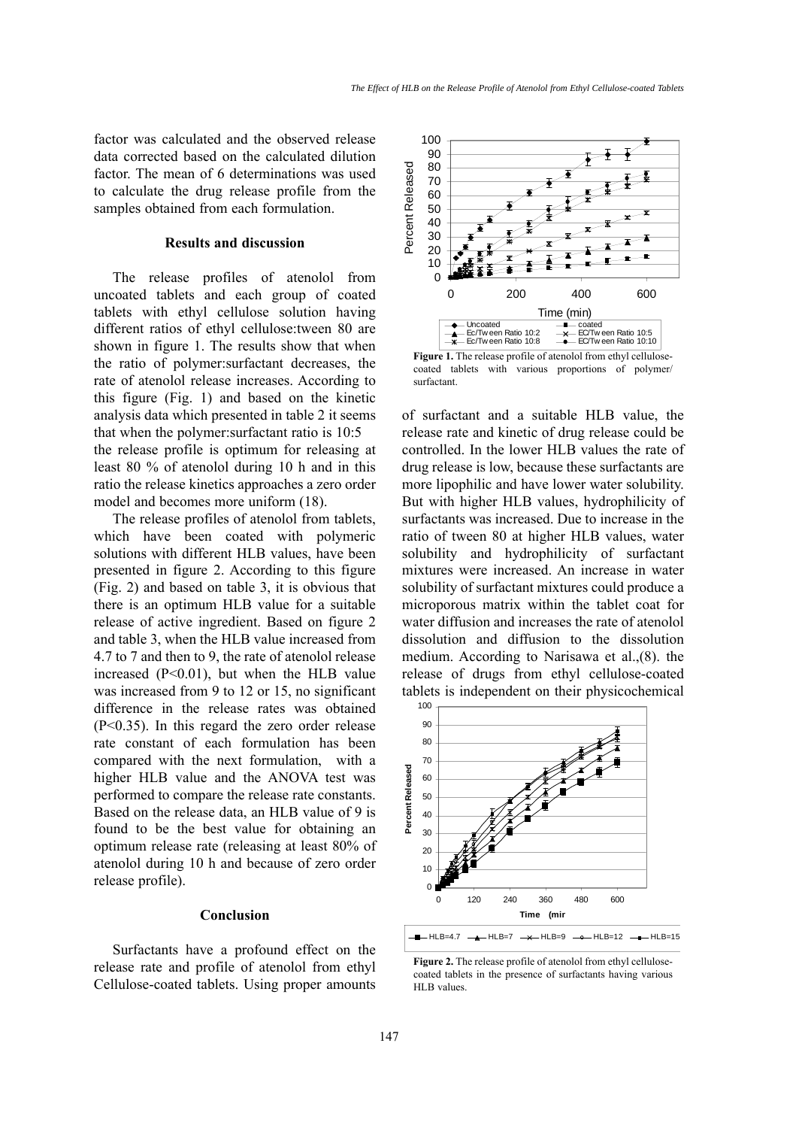factor was calculated and the observed release data corrected based on the calculated dilution factor. The mean of 6 determinations was used to calculate the drug release profile from the samples obtained from each formulation.

### **Results and discussion**

The release profiles of atenolol from uncoated tablets and each group of coated tablets with ethyl cellulose solution having different ratios of ethyl cellulose:tween 80 are shown in figure 1. The results show that when the ratio of polymer:surfactant decreases, the rate of atenolol release increases. According to this figure (Fig. 1) and based on the kinetic analysis data which presented in table 2 it seems that when the polymer:surfactant ratio is 10:5 the release profile is optimum for releasing at least 80 % of atenolol during 10 h and in this ratio the release kinetics approaches a zero order model and becomes more uniform (18).

The release profiles of atenolol from tablets, which have been coated with polymeric solutions with different HLB values, have been presented in figure 2. According to this figure (Fig. 2) and based on table 3, it is obvious that there is an optimum HLB value for a suitable release of active ingredient. Based on figure 2 and table 3, when the HLB value increased from 4.7 to 7 and then to 9, the rate of atenolol release increased (P<0.01), but when the HLB value was increased from 9 to 12 or 15, no significant difference in the release rates was obtained (P<0.35). In this regard the zero order release rate constant of each formulation has been compared with the next formulation, with a higher HLB value and the ANOVA test was performed to compare the release rate constants. Based on the release data, an HLB value of 9 is found to be the best value for obtaining an optimum release rate (releasing at least 80% of atenolol during 10 h and because of zero order release profile).

## **Conclusion**

Surfactants have a profound effect on the release rate and profile of atenolol from ethyl Cellulose-coated tablets. Using proper amounts



**Figure 1.** The release profile of atenolol from ethyl cellulosecoated tablets with various proportions of polymer/ surfactant.

of surfactant and a suitable HLB value, the release rate and kinetic of drug release could be controlled. In the lower HLB values the rate of drug release is low, because these surfactants are more lipophilic and have lower water solubility. But with higher HLB values, hydrophilicity of surfactants was increased. Due to increase in the ratio of tween 80 at higher HLB values, water solubility and hydrophilicity of surfactant mixtures were increased. An increase in water solubility of surfactant mixtures could produce a microporous matrix within the tablet coat for water diffusion and increases the rate of atenolol dissolution and diffusion to the dissolution medium. According to Narisawa et al.,(8). the release of drugs from ethyl cellulose-coated tablets is independent on their physicochemical



**Figure 2.** The release profile of atenolol from ethyl cellulosecoated tablets in the presence of surfactants having various HLB values.